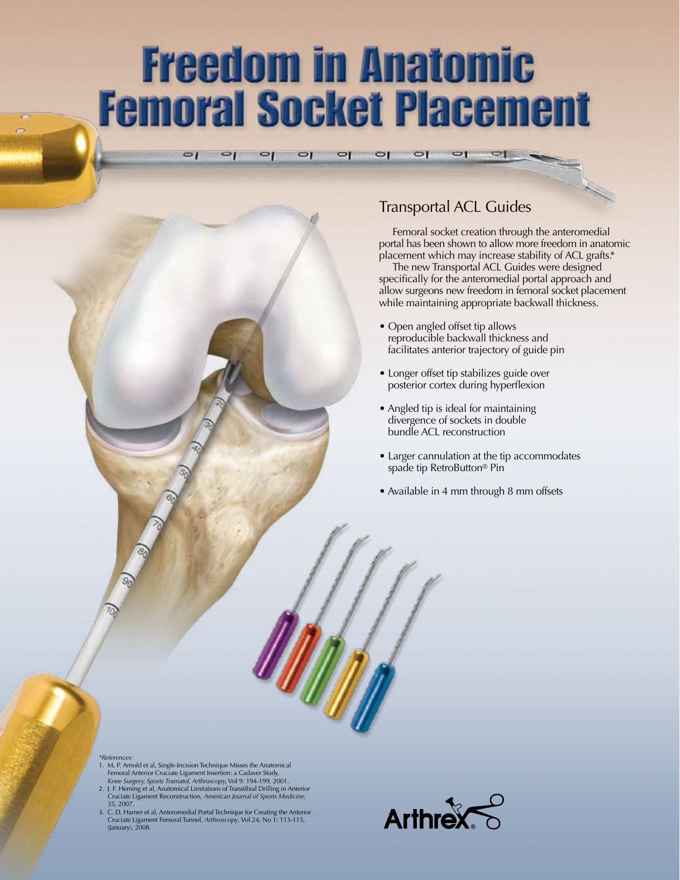## **Freedom in Anatomic Femoral Socket Placement**

 $\Box$ 

 $\Box$ 

 $\Box$ 

### Transportal ACL Guides

 $\overline{C}$ 

Femoral socket creation through the anteromedial portal has been shown to allow more freedom in anatomic placement which may increase stability of ACL grafts.\*

The new Transportal ACL Guides were designed specifically for the anteromedial portal approach and allow surgeons new freedom in femoral socket placement while maintaining appropriate backwall thickness.

- Open angled offset tip allows reproducible backwall thickness and facilitates anterior trajectory of guide pin
- Longer offset tip stabilizes guide over posterior cortex during hyperflexion
- Angled tip is ideal for maintaining divergence of sockets in double bundle ACL reconstruction
- Larger cannulation at the tip accommodates spade tip RetroButton® Pin
- Available in 4 mm through 8 mm offsets

*\*References:* 1. M. P. Arnold et al, Single-Incision Technique Misses the Anatomical Femoral Anterior Cruciate Ligament Insertion: a Cadaver Study,<br>*Knee Surgery, Sports Tramatol, Arthroscopy, V*ol 9: 194-199, 2001.<br>2. J. F. Heming et al, Anatomical Limitations of Transtibial Drilling in Anterior

 $\sigma$ <sub>I</sub>

 $\mathbf{q}$ 

 $\overline{q}$ 

 $\Box$ 

- Cruciate Ligament Reconstruction, *American Journal of Sports Medicine,* 35, 2007.
- 3. C. D. Harner et al, Anteromedial Portal Technique for Creating the Anterior Cruciate Ligament Femoral Tunnel, *Arthroscopy*, Vol 24, No 1: 113-115, (January), 2008.